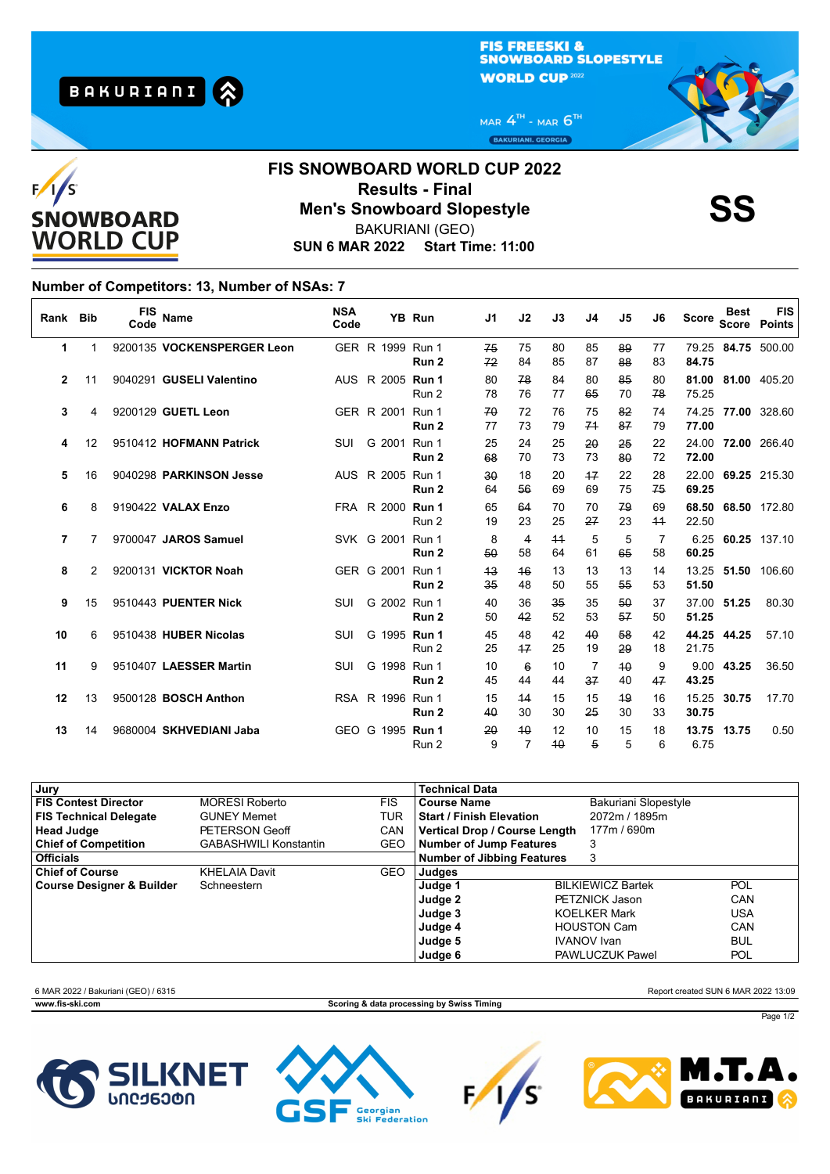**FIS FREESKI &** SNOWBOARD SLOPESTYLE **WORLD CUP 2022** 

MAR  $4^{\text{th}}$  - MAR  $6^{\text{th}}$ BAKURIANI. GEORGIA



## **SUN 6 MAR 2022 Start Time: 11:00 FIS SNOWBOARD WORLD CUP 2022 Results - Final<br>Men's Snowboard Slopestyle**<br>RAKURIANI (GEO) BAKURIANI (GEO)

## **Number of Competitors: 13, Number of NSAs: 7**

**BAKURIANI** 

| Rank Bib       |    | <b>FIS</b><br>Code | Name                        | <b>NSA</b><br>Code |                         | <b>YB Run</b>    | J1                 | J2                    | J3       | J4       | J5       | J6         | <b>Score</b>   | <b>Best</b><br><b>Score</b> | <b>FIS</b><br><b>Points</b> |
|----------------|----|--------------------|-----------------------------|--------------------|-------------------------|------------------|--------------------|-----------------------|----------|----------|----------|------------|----------------|-----------------------------|-----------------------------|
| 1              | 1  |                    | 9200135 VOCKENSPERGER Leon  |                    | GER R 1999 Run 1        | Run 2            | 75<br>72           | 75<br>84              | 80<br>85 | 85<br>87 | 89<br>88 | 77<br>83   | 84.75          |                             | 79.25 84.75 500.00          |
| $\overline{2}$ | 11 |                    | 9040291 GUSELI Valentino    |                    | AUS R 2005 <b>Run 1</b> | Run 2            | 80<br>78           | 78<br>76              | 84<br>77 | 80<br>65 | 85<br>70 | 80<br>78   | 81.00<br>75.25 |                             | 81.00 405.20                |
| 3              | 4  |                    | 9200129 GUETL Leon          |                    | GER R 2001 Run 1        | Run 2            | 70<br>77           | 72<br>73              | 76<br>79 | 75<br>74 | 82<br>87 | 74<br>79   | 74.25<br>77.00 |                             | 77.00 328.60                |
| 4              | 12 |                    | 9510412 HOFMANN Patrick     | SUI                | G 2001 Run 1            | Run <sub>2</sub> | 25<br>68           | 24<br>70              | 25<br>73 | 20<br>73 | 25<br>80 | 22<br>72   | 72.00          |                             | 24.00 72.00 266.40          |
| 5              | 16 |                    | 9040298 PARKINSON Jesse     |                    | AUS R 2005 Run 1        | Run <sub>2</sub> | $30^{\circ}$<br>64 | 18<br>56              | 20<br>69 | 17<br>69 | 22<br>75 | 28<br>75   | 22.00<br>69.25 |                             | 69.25 215.30                |
| 6              | 8  |                    | 9190422 VALAX Enzo          |                    | FRA R 2000 Run 1        | Run 2            | 65<br>19           | 64<br>23              | 70<br>25 | 70<br>27 | 79<br>23 | 69<br>$+4$ | 68.50<br>22.50 |                             | 68.50 172.80                |
| 7              | 7  |                    | 9700047 JAROS Samuel        |                    | SVK G 2001 Run 1        | Run <sub>2</sub> | 8<br>50            | 4<br>58               | 44<br>64 | 5<br>61  | 5<br>65  | 7<br>58    | 6.25<br>60.25  |                             | 60.25 137.10                |
| 8              | 2  |                    | 9200131 VICKTOR Noah        |                    | GER G 2001 Run 1        | Run 2            | 43<br>35           | 46<br>48              | 13<br>50 | 13<br>55 | 13<br>55 | 14<br>53   | 13.25<br>51.50 | 51.50                       | 106.60                      |
| 9              | 15 |                    | 9510443 PUENTER Nick        | SUI                | G 2002 Run 1            | Run 2            | 40<br>50           | 36<br>42              | 35<br>52 | 35<br>53 | 50<br>57 | 37<br>50   | 37.00<br>51.25 | 51.25                       | 80.30                       |
| 10             | 6  |                    | 9510438 HUBER Nicolas       | SUI                | G 1995 Run 1            | Run 2            | 45<br>25           | 48<br>17              | 42<br>25 | 40<br>19 | 58<br>29 | 42<br>18   | 21.75          | 44.25 44.25                 | 57.10                       |
| 11             | 9  |                    | 9510407 LAESSER Martin      | SUI                | G 1998 Run 1            | Run 2            | 10<br>45           | $6\overline{6}$<br>44 | 10<br>44 | 7<br>37  | 40<br>40 | 9<br>47    | 43.25          | 9.00 43.25                  | 36.50                       |
| 12             | 13 |                    | 9500128 <b>BOSCH Anthon</b> |                    | RSA R 1996 Run 1        | Run 2            | 15<br>40           | 44<br>30              | 15<br>30 | 15<br>25 | 49<br>30 | 16<br>33   | 15.25<br>30.75 | 30.75                       | 17.70                       |
| 13             | 14 |                    | 9680004 SKHVEDIANI Jaba     |                    | GEO G 1995 Run 1        | Run 2            | 20<br>9            | 40<br>$\overline{7}$  | 12<br>40 | 10<br>5  | 15<br>5  | 18<br>6    | 13.75<br>6.75  | 13.75                       | 0.50                        |

| Jury                                 |                              |            | <b>Technical Data</b>             |  |                          |            |
|--------------------------------------|------------------------------|------------|-----------------------------------|--|--------------------------|------------|
| <b>FIS Contest Director</b>          | <b>MORESI Roberto</b>        | <b>FIS</b> | Course Name                       |  | Bakuriani Slopestyle     |            |
| <b>FIS Technical Delegate</b>        | <b>GUNEY Memet</b>           | TUR        | <b>Start / Finish Elevation</b>   |  | 2072m / 1895m            |            |
| <b>Head Judge</b>                    | PETERSON Geoff               | <b>CAN</b> | Vertical Drop / Course Length     |  | 177m / 690m              |            |
| <b>Chief of Competition</b>          | <b>GABASHWILI Konstantin</b> | GEO        | Number of Jump Features           |  | 3                        |            |
| <b>Officials</b>                     |                              |            | <b>Number of Jibbing Features</b> |  | 3                        |            |
| <b>Chief of Course</b>               | <b>KHELAIA Davit</b>         | <b>GEO</b> | Judges                            |  |                          |            |
| <b>Course Designer &amp; Builder</b> | Schneestern                  |            | Judge 1                           |  | <b>BILKIEWICZ Bartek</b> | <b>POL</b> |
|                                      |                              |            | Judge 2                           |  | <b>PETZNICK Jason</b>    | CAN        |
|                                      |                              |            | Judge 3                           |  | <b>KOELKER Mark</b>      | <b>USA</b> |
|                                      |                              |            | Judge 4                           |  | <b>HOUSTON Cam</b>       | CAN        |
|                                      |                              |            | Judge 5                           |  | <b>IVANOV</b> Ivan       | <b>BUL</b> |
|                                      |                              |            | Judge 6                           |  | <b>PAWLUCZUK Pawel</b>   | <b>POL</b> |

6 MAR 2022 / Bakuriani (GEO) / 6315 Report created SUN 6 MAR 2022 13:09

**www.fis-ski.com Scoring & data processing by Swiss Timing**









Page 1/2